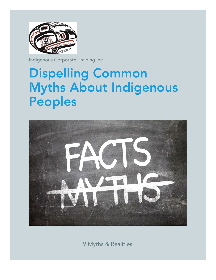

Indigenous Corporate Training Inc.

# Dispelling Common Myths About Indigenous Peoples



9 Myths & Realities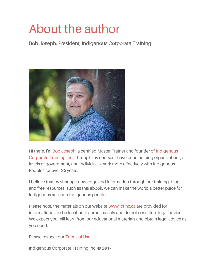# About the author

Bob Joseph, President, Indigenous Corporate Training



Hi there, I'm Bob [Joseph](http://www.ictinc.ca/bob-joseph), a certified Master Trainer and founder of Indigenous Corporate Training Inc. Through my courses I have been helping [organization](http://www.ictinc.ca/)s, all levels of government, and individuals work more effectively with Indigenous Peoples for over 20 years.

I believe that by sharing knowledge and information through our training, blog and free resources, such as this ebook, we can make the world a better place for Indigenous and non-Indigenous people.

Please note, the materials on our website [www.ictinc.ca](http://www.ictinc.ca/) are provided for informational and educational purposes only and do not constitute legal advice. We expect you will learn from our educational materials and obtain legal advice as you need.

Please respect our [Terms](http://www.ictinc.ca/terms-of-use) of Use.

Indigenous Corporate Training Inc. © 2017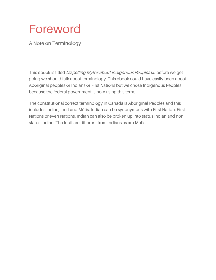

A Note on Terminology

This ebook is titled Dispelling Myths about Indigenous Peoples so before we get going we should talk about terminology. This ebook could have easily been about Aboriginal peoples or Indians or First Nations but we chose Indigenous Peoples because the federal government is now using this term.

The constitutional correct terminology in Canada is Aboriginal Peoples and this includes Indian, Inuit and Métis. Indian can be synonymous with First Nation, First Nations or even Nations. Indian can also be broken up into status Indian and non status Indian. The Inuit are different from Indians as are Métis.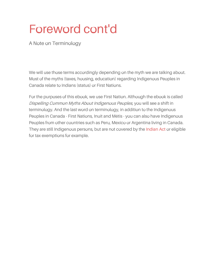# Foreword cont'd

A Note on Terminology

We will use those terms accordingly depending on the myth we are talking about. Most of the myths (taxes, housing, education) regarding Indigenous Peoples in Canada relate to Indians (status) or First Nations.

For the purposes of this ebook, we use First Nation. Although the ebook is called Dispelling Common Myths About Indigenous Peoples, you will see a shift in terminology. And the last word on terminology, in addition to the Indigenous Peoples in Canada - First Nations, Inuit and Métis - you can also have Indigenous Peoples from other countries such as Peru, Mexico or Argentina living in Canada. They are still Indigenous persons, but are not covered by the [Indian](https://www.ictinc.ca/blog/21-things-you-may-not-have-known-about-the-indian-act-) Act or eligible for tax exemptions for example.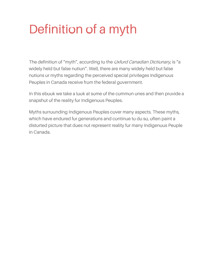# Definition of a myth

The definition of "myth", according to the *Oxford Canadian Dictionary*, is "a widely held but false notion". Well, there are many widely held but false notions or myths regarding the perceived special privileges Indigenous Peoples in Canada receive from the federal government.

In this ebook we take a look at some of the common ones and then provide a snapshot of the reality for Indigenous Peoples.

Myths surrounding Indigenous Peoples cover many aspects. These myths, which have endured for generations and continue to do so, often paint a distorted picture that does not represent reality for many Indigenous People in Canada.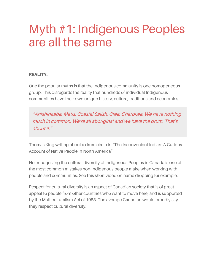### Myth #1: Indigenous Peoples are all the same

#### **REALITY:**

One the popular myths is that the Indigenous community is one homogeneous group. This disregards the reality that hundreds of individual Indigenous communities have their own unique history, culture, traditions and economies.

"Anishinaabe, Métis, Coastal Salish, Cree, Cherokee. We have nothing much in common. We're all aboriginal and we have the drum. That's about it."

Thomas King writing about a drum circle in "The Inconvenient Indian: A Curious Account of Native People in North America"

Not recognizing the cultural diversity of Indigenous Peoples in Canada is one of the most common mistakes non-Indigenous people make when working with people and communities. See this short video on name dropping for example.

Respect for cultural diversity is an aspect of Canadian society that is of great appeal to people from other countries who want to move here, and is supported by the Multiculturalism Act of 1988. The average Canadian would proudly say they respect cultural diversity.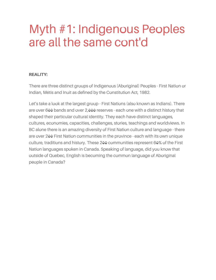# Myth #1: Indigenous Peoples are all the same cont'd

#### **REALITY:**

There are three distinct groups of Indigenous (Aboriginal) Peoples - First Nation or Indian, Métis and Inuit as defined by the Constitution Act, 1982.

Let's take a look at the largest group - First Nations (also known as Indians). There are over 600 bands and over 2,000 reserves - each one with a distinct history that shaped their particular cultural identity. They each have distinct languages, cultures, economies, capacities, challenges, stories, teachings and worldviews. In BC alone there is an amazing diversity of First Nation culture and language - there are over 200 First Nation communities in the province - each with its own unique culture, traditions and history. These 200 communities represent 60% of the First Nation languages spoken in Canada. Speaking of language, did you know that outside of Quebec, English is becoming the common language of Aboriginal people in Canada?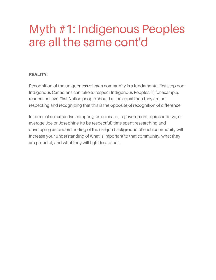# Myth #1: Indigenous Peoples are all the same cont'd

#### **REALITY:**

Recognition of the uniqueness of each community is a fundamental first step non-Indigenous Canadians can take to respect Indigenous Peoples. If, for example, readers believe First Nation people should all be equal then they are not respecting and recognizing that this is the opposite of recognition of difference.

In terms of an extractive company, an educator, a government representative, or average Joe or Josephine (to be respectful) time spent researching and developing an understanding of the unique background of each community will increase your understanding of what is important to that community, what they are proud of, and what they will fight to protect.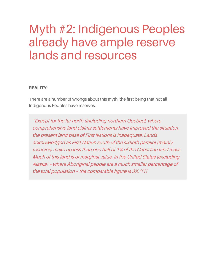# Myth #2: Indigenous Peoples already have ample reserve lands and resources

#### **REALITY:**

There are a number of wrongs about this myth, the first being that not all Indigenous Peoples have reserves.

"Except for the far north (including northern Quebec), where comprehensive land claims settlements have improved the situation, the present land base of First Nations is inadequate. Lands acknowledged as First Nation south of the sixtieth parallel (mainly reserves) make up less than one half of 1% of the Canadian land mass. Much of this land is of marginal value. In the United States (excluding Alaska) – where Aboriginal people are <sup>a</sup> much smaller percentage of the total population – the comparable figure is 3%."[1]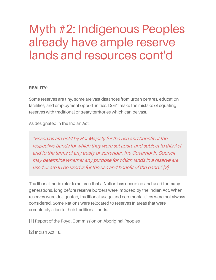# Myth #2: Indigenous Peoples already have ample reserve lands and resources cont'd

#### **REALITY:**

Some reserves are tiny, some are vast distances from urban centres, education facilities, and employment opportunities. Don't make the mistake of equating reserves with traditional or treaty territories which can be vast.

As designated in the Indian Act:

"Reserves are held by Her Majesty for the use and benefit of the respective bands for which they were set apart, and subject to this Act and to the terms of any treaty or surrender, the Governor in Council may determine whether any purpose for which lands in <sup>a</sup> reserve are used or are to be used is for the use and benefit of the band." [2]

Traditional lands refer to an area that a Nation has occupied and used for many generations, long before reserve borders were imposed by the Indian Act. When reserves were designated, traditional usage and ceremonial sites were not always considered. Some Nations were relocated to reserves in areas that were completely alien to their traditional lands.

[1] Report of the Royal Commission on Aboriginal Peoples

[2] Indian Act 18.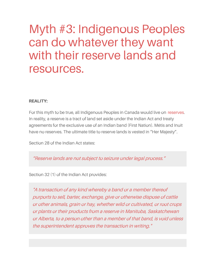### Myth #3: Indigenous Peoples can do whatever they want with their reserve lands and resources.

#### **REALITY:**

For this myth to be true, all Indigenous Peoples in Canada would live on [reserves](https://www.ictinc.ca/blog/8-first-nation-reserve-faqs). In reality, a reserve is a tract of land set aside under the Indian Act and treaty agreements for the exclusive use of an Indian band (First Nation). Métis and Inuit have no reserves. The ultimate title to reserve lands is vested in "Her Majesty".

Section 28 of the Indian Act states:

"Reserve lands are not subject to seizure under legal process."

Section 32 (1) of the Indian Act provides:

"A transaction of any kind whereby <sup>a</sup> band or <sup>a</sup> member thereof purports to sell, barter, exchange, give or otherwise dispose of cattle or other animals, grain or hay, whether wild or cultivated, or root crops or plants or their products from <sup>a</sup> reserve in Manitoba, Saskatchewan or Alberta, to <sup>a</sup> person other than <sup>a</sup> member of that band, is void unless the superintendent approves the transaction in writing."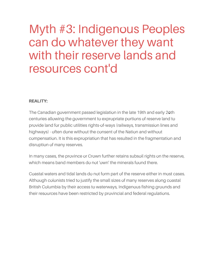### Myth #3: Indigenous Peoples can do whatever they want with their reserve lands and resources cont'd

#### **REALITY:**

The Canadian government passed legislation in the late 19th and early 20th centuries allowing the government to expropriate portions of reserve land to provide land for public utilities rights-of-ways (railways, transmission lines and highways) - often done without the consent of the Nation and without compensation. It is this expropriation that has resulted in the fragmentation and disruption of many reserves.

In many cases, the province or Crown further retains subsoil rights on the reserve, which means band members do not 'own' the minerals found there.

Coastal waters and tidal lands do not form part of the reserve either in most cases. Although colonists tried to justify the small sizes of many reserves along coastal British Columbia by their access to waterways, Indigenous fishing grounds and their resources have been restricted by provincial and federal regulations.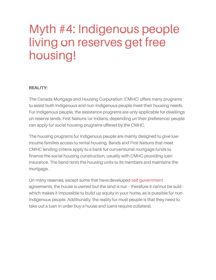# Myth #4: Indigenous people living on reserves get free housing!

#### **REALITY:**

The Canada Mortgage and Housing Corporation (CMHC) offers many programs to assist both Indigenous and non-Indigenous people meet their housing needs. For Indigenous people, the assistance programs are only applicable for dwellings on reserve lands. First Nations (or Indians, depending on their preference) people can apply for social housing programs offered by the CMHC.

The housing programs for Indigenous people are mainly designed to give lowincome families access to rental housing. Bands and First Nations that meet CMHC lending criteria apply to a bank for conventional mortgage funds to finance the social housing construction, usually with CMHC providing loan insurance. The band rents the housing units to its members and maintains the mortgage.

On many reserves, except some that have developed [self-government](https://www.ictinc.ca/blog/aboriginal-self-government-clarification) agreements, the house is owned but the land is not – therefore it cannot be sold which makes it impossible to build up equity in your home, as is possible for non-Indigenous people. Additionally, the reality for most people is that they need to take out a loan in order buy a house and loans require collateral.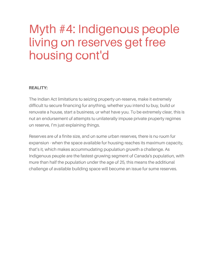# Myth #4: Indigenous people living on reserves get free housing cont'd

#### **REALITY:**

The Indian Act limitations to seizing property on-reserve, make it extremely difficult to secure financing for anything, whether you intend to buy, build or renovate a house, start a business, or what have you. To be extremely clear, this is not an endorsement of attempts to unilaterally impose private property regimes on reserve, I'm just explaining things.

Reserves are of a finite size, and on some urban reserves, there is no room for expansion - when the space available for housing reaches its maximum capacity, that's it, which makes accommodating population growth a challenge. As Indigenous people are the fastest-growing segment of Canada's population, with more than half the population under the age of 25, this means the additional challenge of available building space will become an issue for some reserves.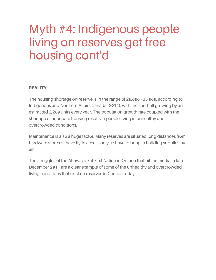# Myth #4: Indigenous people living on reserves get free housing cont'd

#### **REALITY:**

The housing shortage on-reserve is in the range of 20,000 - 35,000, according to Indigenous and Northern Affairs Canada (2011), with the shortfall growing by an estimated 2,200 units every year. The population growth rate coupled with the shortage of adequate housing results in people living in unhealthy and overcrowded conditions.

Maintenance is also a huge factor. Many reserves are situated long distances from hardware stores or have fly-in access only so have to bring in building supplies by air.

The struggles of the Attawapiskat First Nation in Ontario that hit the media in late December 2011 are a clear example of some of the unhealthy and overcrowded living conditions that exist on reserves in Canada today.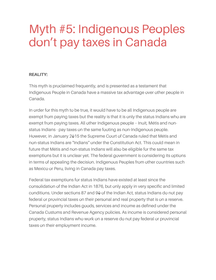#### **REALITY:**

This myth is proclaimed frequently, and is presented as a testament that Indigenous People in Canada have a massive tax advantage over other people in Canada.

In order for this myth to be true, it would have to be all Indigenous people are exempt from paying taxes but the reality is that it is only the status Indians who are exempt from paying taxes. All other Indigenous people – Inuit, Métis and nonstatus Indians - pay taxes on the same footing as non-Indigenous people. However, in January 2015 the Supreme Court of Canada ruled that Métis and non-status Indians are "Indians" under the Constitution Act. This could mean in future that Métis and non-status Indians will also be eligible for the same tax exemptions but it is unclear yet. The federal government is considering its options in terms of appealing the decision. Indigenous Peoples from other countries such as Mexico or Peru, living in Canada pay taxes.

Federal tax exemptions for status Indians have existed at least since the consolidation of the Indian Act in 1876, but only apply in very specific and limited conditions. Under sections 87 and 90 of the Indian Act, status Indians do not pay federal or provincial taxes on their personal and real property that is on a reserve. Personal property includes goods, services and income as defined under the Canada Customs and Revenue Agency policies. As income is considered personal property, status Indians who work on a reserve do not pay federal or provincial taxes on their employment income.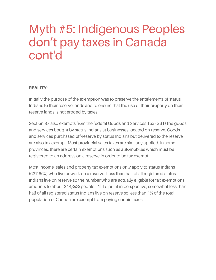#### **REALITY:**

Initially the purpose of the exemption was to preserve the entitlements of status Indians to their reserve lands and to ensure that the use of their property on their reserve lands is not eroded by taxes.

Section 87 also exempts from the federal Goods and Services Tax (GST) the goods and services bought by status Indians at businesses located on-reserve. Goods and services purchased off-reserve by status Indians but delivered to the reserve are also tax exempt. Most provincial sales taxes are similarly applied. In some provinces, there are certain exemptions such as automobiles which must be registered to an address on a reserve in order to be tax exempt.

Most income, sales and property tax exemptions only apply to status Indians (637,660) who live or work on a reserve. Less than half of all registered status Indians live on reserve so the number who are actually eligible for tax exemptions amounts to about 314,000 people. [1] To put it in perspective, somewhat less than half of all registered status Indians live on reserve so less than 1% of the total population of Canada are exempt from paying certain taxes.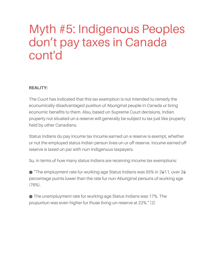#### **REALITY:**

The Court has indicated that this tax exemption is not intended to remedy the economically disadvantaged position of Aboriginal people in Canada or bring economic benefits to them. Also, based on Supreme Court decisions, Indian property not situated on a reserve will generally be subject to tax just like property held by other Canadians.

Status Indians do pay income tax Income earned on a reserve is exempt, whether or not the employed status Indian person lives on or off reserve. Income earned off reserve is taxed on par with non-Indigenous taxpayers.

So, in terms of how many status Indians are receiving income tax exemptions:

● "The employment rate for working-age Status Indians was 55% in 2011, over 20 percentage points lower than the rate for non-Aboriginal persons of working age  $(76%)$ .

● The unemployment rate for working-age Status Indians was 17%. The proportion was even higher for those living on-reserve at 22%." [2]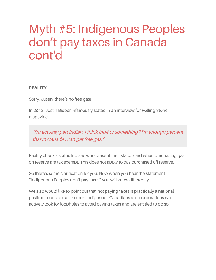#### **REALITY:**

Sorry, Justin, there's no free gas!

In 2012, Justin Bieber infamously stated in an interview for Rolling Stone magazine

"I'm actually part Indian. I think Inuit or something? I'm enough percent that in Canada I can get free gas."

Reality check – status Indians who present their status card when purchasing gas on reserve are tax exempt. This does not apply to gas purchased off reserve.

So there's some clarification for you. Now when you hear the statement "Indigenous Peoples don't pay taxes" you will know differently.

We also would like to point out that not paying taxes is practically a national pastime - consider all the non-Indigenous Canadians and corporations who actively look for loopholes to avoid paying taxes and are entitled to do so...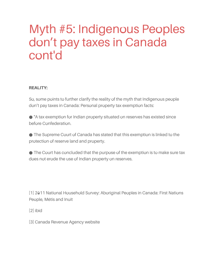#### **REALITY:**

So, some points to further clarify the reality of the myth that Indigenous people don't pay taxes in Canada: Personal property tax exemption facts:

● "A tax exemption for Indian property situated on reserves has existed since before Confederation.

● The Supreme Court of Canada has stated that this exemption is linked to the protection of reserve land and property.

● The Court has concluded that the purpose of the exemption is to make sure tax does not erode the use of Indian property on reserves.

[1] 2011 National Household Survey: Aboriginal Peoples in Canada: First Nations People, Métis and Inuit

[2] ibid

[3] Canada Revenue Agency website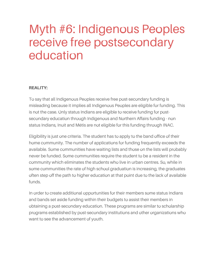# Myth #6: Indigenous Peoples receive free postsecondary education

#### **REALITY:**

To say that all Indigenous Peoples receive free post-secondary funding is misleading because it implies all Indigenous Peoples are eligible for funding. This is not the case. Only status Indians are eligible to receive funding for postsecondary education through Indigenous and Northern Affairs funding - non status Indians, Inuit and Métis are not eligible for this funding through INAC.

Eligibility is just one criteria. The student has to apply to the band office of their home community. The number of applications for funding frequently exceeds the available. Some communities have waiting lists and those on the lists will probably never be funded. Some communities require the student to be a resident in the community which eliminates the students who live in urban centres. So, while in some communities the rate of high school graduation is increasing, the graduates often step off the path to higher education at that point due to the lack of available funds.

In order to create additional opportunities for their members some status Indians and bands set aside funding within their budgets to assist their members in obtaining a post-secondary education. These programs are similar to scholarship programs established by post-secondary institutions and other organizations who want to see the advancement of youth.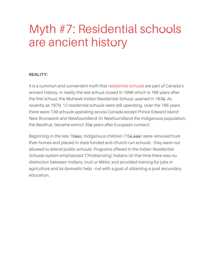### Myth #7: Residential schools are ancient history

#### **REALITY:**

It is a common and convenient myth that [residential](https://www.ictinc.ca/blog/the-indian-act-residential-schools-and-tuberculosis-cover-up) schools are part of Canada's ancient history. In reality the last school closed in 1996 which is 166 years after the first school, the Mohawk Indian Residential School, opened in 1830. As recently as 1979, 12 residential schools were still operating. Over the 166 years there were 139 schools operating across Canada except Prince Edward Island New Brunswick and Newfoundland (in Newfoundland the Indigenous population, the Beothuk, became extinct 350 years after European contact).

Beginning in the late 1800s, Indigenous children (150,000) were removed from their homes and placed in state funded and church-run schools - they were not allowed to attend public schools. Programs offered in the Indian Residential Schools system emphasized 'Christianizing' Indians (at that time there was no distinction between Indians, Inuit or Métis) and provided training for jobs in agriculture and as domestic help - not with a goal of obtaining a post secondary education.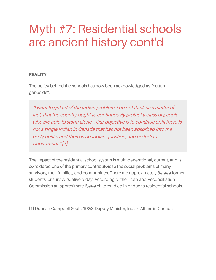## Myth #7: Residential schools are ancient history cont'd

#### **REALITY:**

The policy behind the schools has now been acknowledged as "cultural genocide".

"I want to get rid of the Indian problem. I do not think as <sup>a</sup> matter of fact, that the country ought to continuously protect <sup>a</sup> class of people who are able to stand alone... Our objective is to continue until there is not <sup>a</sup> single Indian in Canada that has not been absorbed into the body politic and there is no Indian question, and no Indian Department." [1]

The impact of the residential school system is multi-generational, current, and is considered one of the primary contributors to the social problems of many survivors, their families, and communities. There are approximately 80,000 former students, or survivors, alive today. According to the Truth and Reconciliation Commission an approximate 6,000 children died in or due to residential schools.

[1] Duncan Campbell Scott, 1920, Deputy Minister, Indian Affairs in Canada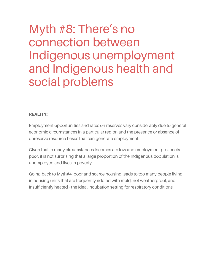# Myth #8: There's no connection between Indigenous unemployment and Indigenous health and social problems

#### **REALITY:**

Employment opportunities and rates on reserves vary considerably due to general economic circumstances in a particular region and the presence or absence of onreserve resource bases that can generate employment.

Given that in many circumstances incomes are low and employment prospects poor, it is not surprising that a large proportion of the Indigenous population is unemployed and lives in poverty.

Going back to Myth#4, poor and scarce housing leads to too many people living in housing units that are frequently riddled with mold, not weatherproof, and insufficiently heated - the ideal incubation setting for respiratory conditions.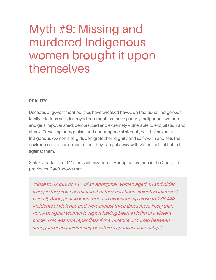### Myth #9: Missing and murdered Indigenous women brought it upon themselves

#### **REALITY:**

Decades of government policies have wreaked havoc on traditional Indigenous family relations and destroyed communities, leaving many Indigenous women and girls impoverished, demoralized and extremely vulnerable to exploitation and attack. Prevailing antagonism and enduring racial stereotypes that sexualize Indigenous women and girls denigrate their dignity and self-worth and sets the environment for some men to feel they can get away with violent acts of hatred against them.

Stats Canada' report Violent victimization of Aboriginal women in the Canadian provinces, 2009 shows that

"close to 67,000 or 13% of all Aboriginal women aged 15 and older living in the provinces stated that they had been violently victimized. Overall, Aboriginal women reported experiencing close to 138,000 incidents of violence and were almost three times more likely than non-Aboriginal women to report having been <sup>a</sup> victim of <sup>a</sup> violent crime. This was true regardless if the violence occurred between strangers or acquaintances, or within <sup>a</sup> spousal relationship."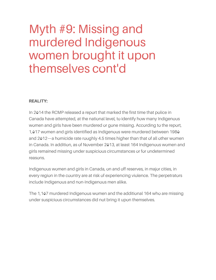## Myth #9: Missing and murdered Indigenous women brought it upon themselves cont'd

#### **REALITY:**

In 2014 the RCMP released a report that marked the first time that police in Canada have attempted, at the national level, to identify how many Indigenous women and girls have been murdered or gone missing. According to the report, 1,017 women and girls identified as Indigenous were murdered between 1980 and 2012—a homicide rate roughly 4.5 times higher than that of all other women in Canada. In addition, as of November 2013, at least 164 Indigenous women and girls remained missing under suspicious circumstances or for undetermined reasons.

Indigenous women and girls in Canada, on and off reserves, in major cities, in every region in the country are at risk of experiencing violence. The perpetrators include Indigenous and non-Indigenous men alike.

The 1,107 murdered Indigenous women and the additional 164 who are missing under suspicious circumstances did not bring it upon themselves.